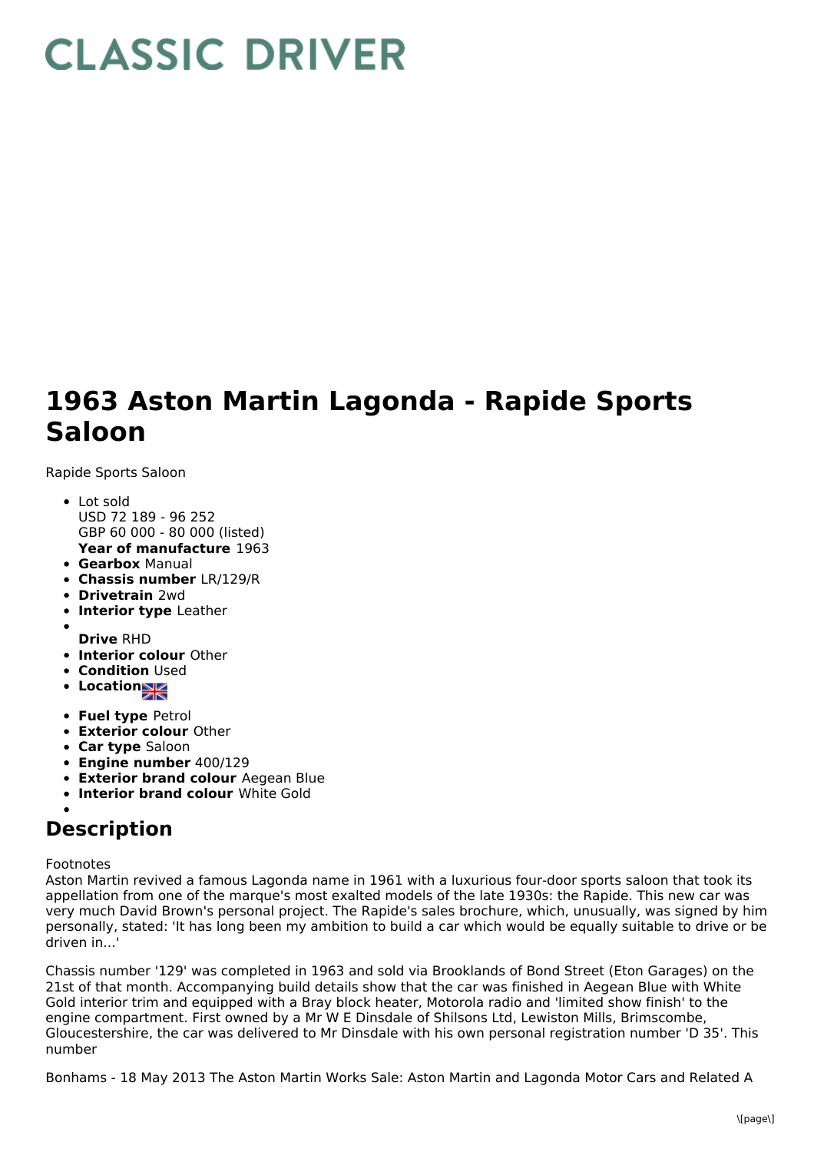## **CLASSIC DRIVER**

## **1963 Aston Martin Lagonda - Rapide Sports Saloon**

Rapide Sports Saloon

- **Year of manufacture** 1963 Lot sold USD 72 189 - 96 252 GBP 60 000 - 80 000 (listed)
- **Gearbox** Manual
- **Chassis number** LR/129/R
- **Drivetrain** 2wd
- **Interior type** Leather
- **Drive** RHD
- **Interior colour** Other
- **Condition Used**
- Location<sub>2</sub>
- **Fuel type** Petrol
- **Exterior colour** Other
- **Car type** Saloon
- **Engine number** 400/129
- **Exterior brand colour** Aegean Blue
- **Interior brand colour** White Gold

## **Description**

## Footnotes

Aston Martin revived a famous Lagonda name in 1961 with a luxurious four-door sports saloon that took its appellation from one of the marque's most exalted models of the late 1930s: the Rapide. This new car was very much David Brown's personal project. The Rapide's sales brochure, which, unusually, was signed by him personally, stated: 'It has long been my ambition to build a car which would be equally suitable to drive or be driven in...'

Chassis number '129' was completed in 1963 and sold via Brooklands of Bond Street (Eton Garages) on the 21st of that month. Accompanying build details show that the car was finished in Aegean Blue with White Gold interior trim and equipped with a Bray block heater, Motorola radio and 'limited show finish' to the engine compartment. First owned by a Mr W E Dinsdale of Shilsons Ltd, Lewiston Mills, Brimscombe, Gloucestershire, the car was delivered to Mr Dinsdale with his own personal registration number 'D 35'. This number

Bonhams - 18 May 2013 The Aston Martin Works Sale: Aston Martin and Lagonda Motor Cars and Related A